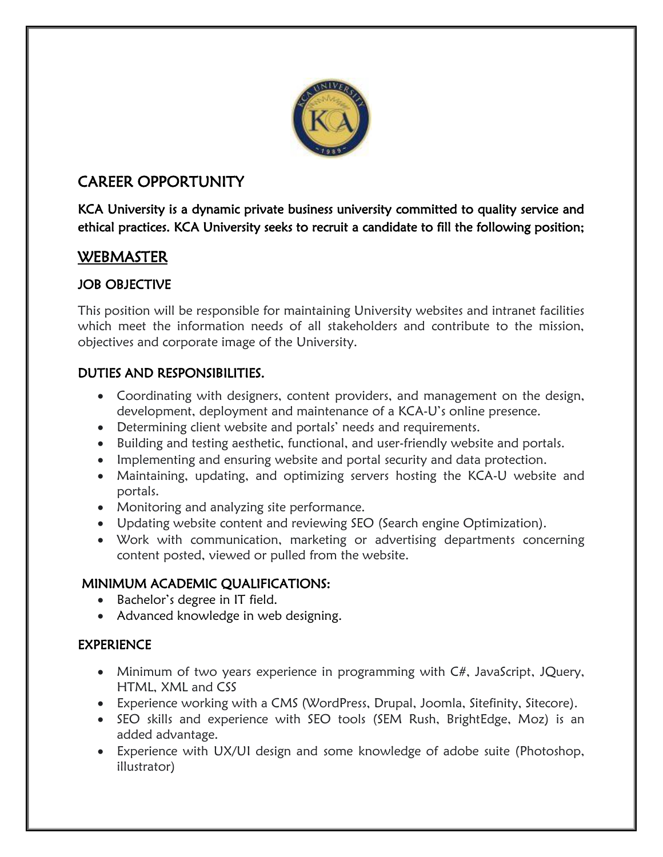

# CAREER OPPORTUNITY

KCA University is a dynamic private business university committed to quality service and ethical practices. KCA University seeks to recruit a candidate to fill the following position;

## WEBMASTER

## JOB OBJECTIVE

This position will be responsible for maintaining University websites and intranet facilities which meet the information needs of all stakeholders and contribute to the mission, objectives and corporate image of the University.

### DUTIES AND RESPONSIBILITIES.

- Coordinating with designers, content providers, and management on the design, development, deployment and maintenance of a KCA-U's online presence.
- Determining client website and portals' needs and requirements.
- Building and testing aesthetic, functional, and user-friendly website and portals.
- Implementing and ensuring website and portal security and data protection.
- Maintaining, updating, and optimizing servers hosting the KCA-U website and portals.
- Monitoring and analyzing site performance.
- Updating website content and reviewing SEO (Search engine Optimization).
- Work with communication, marketing or advertising departments concerning content posted, viewed or pulled from the website.

### MINIMUM ACADEMIC QUALIFICATIONS:

- Bachelor's degree in IT field.
- Advanced knowledge in web designing.

### EXPERIENCE

- Minimum of two years experience in programming with C#, JavaScript, JQuery, HTML, XML and CSS
- Experience working with a CMS (WordPress, Drupal, Joomla, Sitefinity, Sitecore).
- SEO skills and experience with SEO tools (SEM Rush, BrightEdge, Moz) is an added advantage.
- Experience with UX/UI design and some knowledge of adobe suite (Photoshop, illustrator)